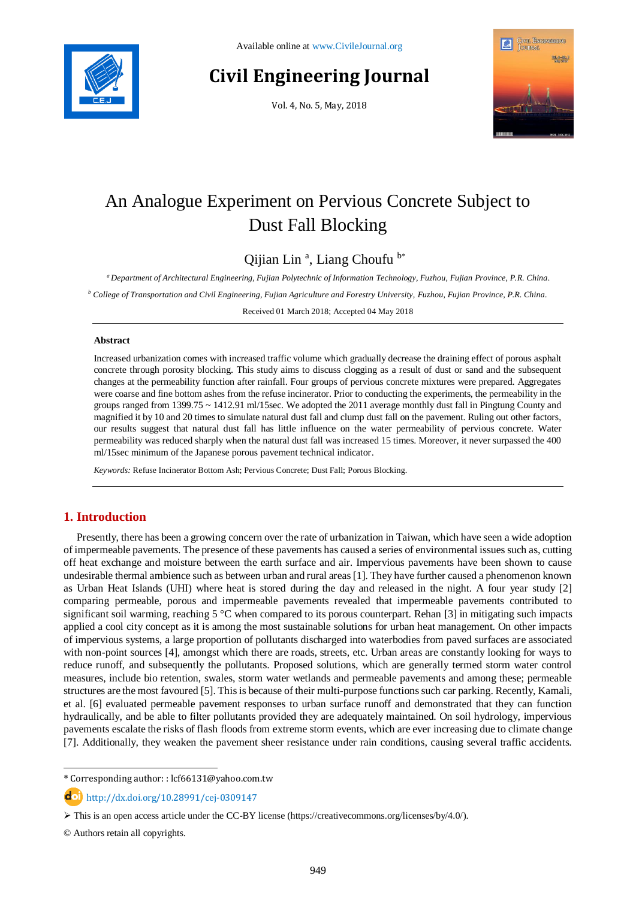

# **Civil Engineering Journal**

Vol. 4, No. 5, May, 2018



## An Analogue Experiment on Pervious Concrete Subject to Dust Fall Blocking

Qijian Lin<sup>a</sup>, Liang Choufu<sup>b\*</sup>

*<sup>a</sup> Department of Architectural Engineering, Fujian Polytechnic of Information Technology, Fuzhou, Fujian Province, P.R. China.*

*<sup>b</sup> College of Transportation and Civil Engineering, Fujian Agriculture and Forestry University, Fuzhou, Fujian Province, P.R. China.*

Received 01 March 2018; Accepted 04 May 2018

#### **Abstract**

Increased urbanization comes with increased traffic volume which gradually decrease the draining effect of porous asphalt concrete through porosity blocking. This study aims to discuss clogging as a result of dust or sand and the subsequent changes at the permeability function after rainfall. Four groups of pervious concrete mixtures were prepared. Aggregates were coarse and fine bottom ashes from the refuse incinerator. Prior to conducting the experiments, the permeability in the groups ranged from 1399.75 ~ 1412.91 ml/15sec. We adopted the 2011 average monthly dust fall in Pingtung County and magnified it by 10 and 20 times to simulate natural dust fall and clump dust fall on the pavement. Ruling out other factors, our results suggest that natural dust fall has little influence on the water permeability of pervious concrete. Water permeability was reduced sharply when the natural dust fall was increased 15 times. Moreover, it never surpassed the 400 ml/15sec minimum of the Japanese porous pavement technical indicator.

*Keywords:* Refuse Incinerator Bottom Ash; Pervious Concrete; Dust Fall; Porous Blocking.

## **1. Introduction**

Presently, there has been a growing concern over the rate of urbanization in Taiwan, which have seen a wide adoption of impermeable pavements. The presence of these pavements has caused a series of environmental issues such as, cutting off heat exchange and moisture between the earth surface and air. Impervious pavements have been shown to cause undesirable thermal ambience such as between urban and rural areas [1]. They have further caused a phenomenon known as Urban Heat Islands (UHI) where heat is stored during the day and released in the night. A four year study [2] comparing permeable, porous and impermeable pavements revealed that impermeable pavements contributed to significant soil warming, reaching  $5^{\circ}$ C when compared to its porous counterpart. Rehan [3] in mitigating such impacts applied a cool city concept as it is among the most sustainable solutions for urban heat management. On other impacts of impervious systems, a large proportion of pollutants discharged into waterbodies from paved surfaces are associated with non-point sources [4], amongst which there are roads, streets, etc. Urban areas are constantly looking for ways to reduce runoff, and subsequently the pollutants. Proposed solutions, which are generally termed storm water control measures, include bio retention, swales, storm water wetlands and permeable pavements and among these; permeable structures are the most favoured [5]. This is because of their multi-purpose functions such car parking. Recently, Kamali, et al. [6] evaluated permeable pavement responses to urban surface runoff and demonstrated that they can function hydraulically, and be able to filter pollutants provided they are adequately maintained. On soil hydrology, impervious pavements escalate the risks of flash floods from extreme storm events, which are ever increasing due to climate change [7]. Additionally, they weaken the pavement sheer resistance under rain conditions, causing several traffic accidents.

l

<sup>\*</sup> Corresponding author: : lcf66131@yahoo.com.tw

http://dx.doi.org/10.28991/cej-0309147

 $\triangleright$  This is an open access article under the CC-BY license [\(https://creativecommons.org/licenses/by/4.0/\)](https://creativecommons.org/licenses/by/4.0/).

<sup>©</sup> Authors retain all copyrights.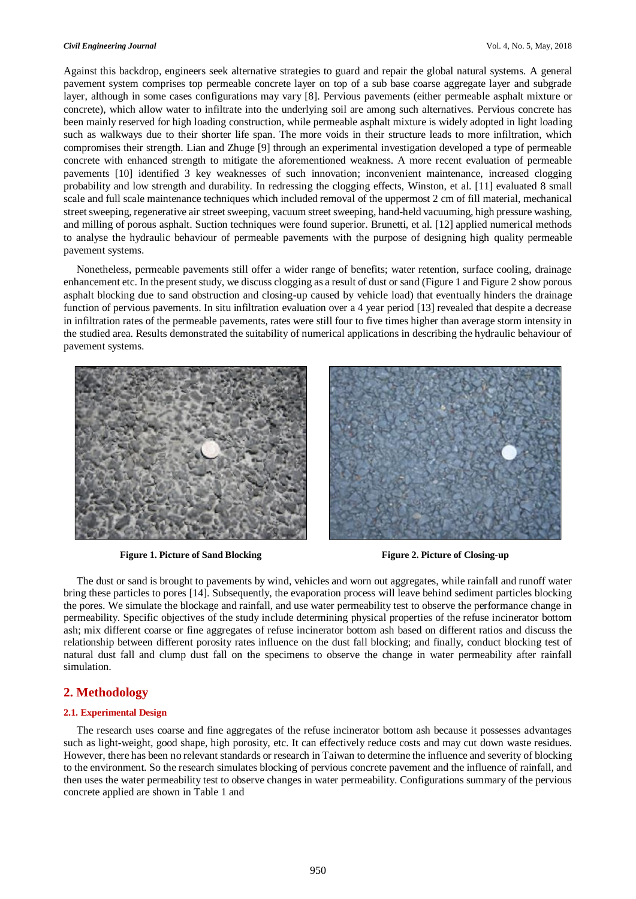#### *Civil Engineering Journal* Vol. 4, No. 5, May, 2018

Against this backdrop, engineers seek alternative strategies to guard and repair the global natural systems. A general pavement system comprises top permeable concrete layer on top of a sub base coarse aggregate layer and subgrade layer, although in some cases configurations may vary [8]. Pervious pavements (either permeable asphalt mixture or concrete), which allow water to infiltrate into the underlying soil are among such alternatives. Pervious concrete has been mainly reserved for high loading construction, while permeable asphalt mixture is widely adopted in light loading such as walkways due to their shorter life span. The more voids in their structure leads to more infiltration, which compromises their strength. Lian and Zhuge [9] through an experimental investigation developed a type of permeable concrete with enhanced strength to mitigate the aforementioned weakness. A more recent evaluation of permeable pavements [10] identified 3 key weaknesses of such innovation; inconvenient maintenance, increased clogging probability and low strength and durability. In redressing the clogging effects, Winston, et al. [11] evaluated 8 small scale and full scale maintenance techniques which included removal of the uppermost 2 cm of fill material, mechanical street sweeping, regenerative air street sweeping, vacuum street sweeping, hand-held vacuuming, high pressure washing, and milling of porous asphalt. Suction techniques were found superior. Brunetti, et al. [12] applied numerical methods to analyse the hydraulic behaviour of permeable pavements with the purpose of designing high quality permeable pavement systems.

Nonetheless, permeable pavements still offer a wider range of benefits; water retention, surface cooling, drainage enhancement etc. In the present study, we discuss clogging as a result of dust or sand (Figure 1 and Figure 2 show porous asphalt blocking due to sand obstruction and closing-up caused by vehicle load) that eventually hinders the drainage function of pervious pavements. In situ infiltration evaluation over a 4 year period [13] revealed that despite a decrease in infiltration rates of the permeable pavements, rates were still four to five times higher than average storm intensity in the studied area. Results demonstrated the suitability of numerical applications in describing the hydraulic behaviour of pavement systems.



**Figure 1. Picture of Sand Blocking Figure 2. Picture of Closing-up**

The dust or sand is brought to pavements by wind, vehicles and worn out aggregates, while rainfall and runoff water bring these particles to pores [14]. Subsequently, the evaporation process will leave behind sediment particles blocking the pores. We simulate the blockage and rainfall, and use water permeability test to observe the performance change in permeability. Specific objectives of the study include determining physical properties of the refuse incinerator bottom ash; mix different coarse or fine aggregates of refuse incinerator bottom ash based on different ratios and discuss the relationship between different porosity rates influence on the dust fall blocking; and finally, conduct blocking test of natural dust fall and clump dust fall on the specimens to observe the change in water permeability after rainfall simulation.

## **2. Methodology**

#### **2.1. Experimental Design**

The research uses coarse and fine aggregates of the refuse incinerator bottom ash because it possesses advantages such as light-weight, good shape, high porosity, etc. It can effectively reduce costs and may cut down waste residues. However, there has been no relevant standards or research in Taiwan to determine the influence and severity of blocking to the environment. So the research simulates blocking of pervious concrete pavement and the influence of rainfall, and then uses the water permeability test to observe changes in water permeability. Configurations summary of the pervious concrete applied are shown in [Table 1](#page-2-0) and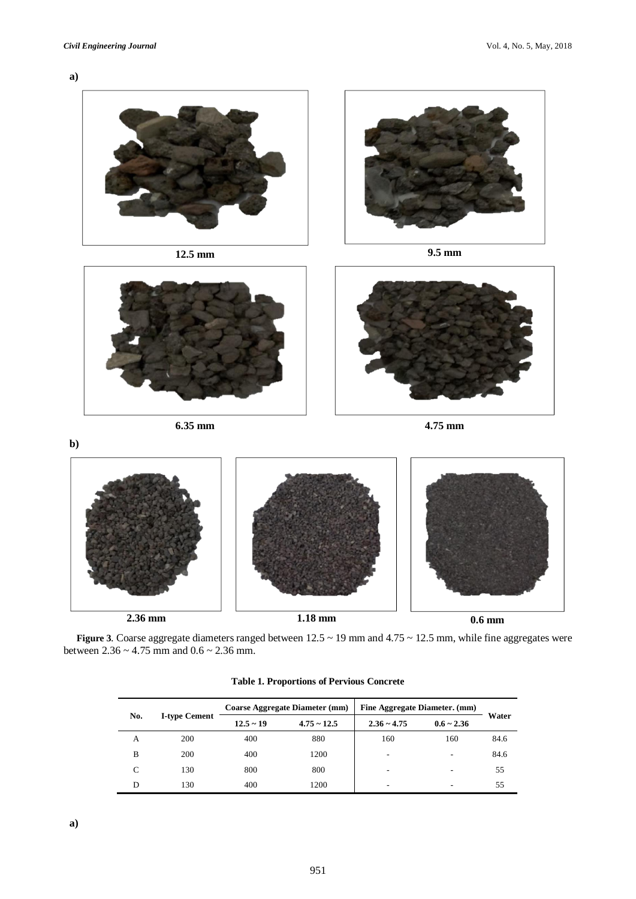**[a\)](#page-2-1)**





<span id="page-2-0"></span>**[Figure 3](#page-2-1)**. Coarse aggregate diameters ranged between 12.5 ~ 19 mm and 4.75 ~ 12.5 mm, while fine aggregates were between  $2.36 \sim 4.75$  mm and  $0.6 \sim 2.36$  mm.

|     |                      |             | <b>Coarse Aggregate Diameter (mm)</b> | Fine Aggregate Diameter. (mm) |                 |       |
|-----|----------------------|-------------|---------------------------------------|-------------------------------|-----------------|-------|
| No. | <b>I-type Cement</b> | $12.5 - 19$ | $4.75 - 12.5$                         | $2.36 - 4.75$                 | $0.6 \sim 2.36$ | Water |
| A   | 200                  | 400         | 880                                   | 160                           | 160             | 84.6  |
| B   | 200                  | 400         | 1200                                  | $\overline{\phantom{a}}$      | ٠               | 84.6  |
|     | 130                  | 800         | 800                                   | $\overline{\phantom{a}}$      | ۰               | 55    |
|     | 130                  | 400         | 1200                                  | $\overline{\phantom{a}}$      | ٠               | 55    |

**Table 1. Proportions of Pervious Concrete**

<span id="page-2-1"></span>**a)**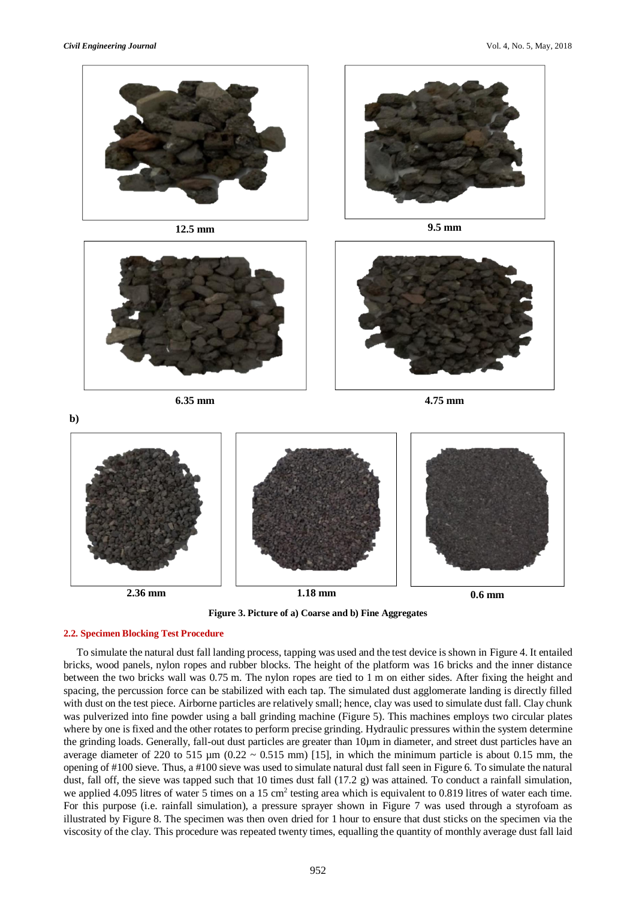**b)**





**6.35 mm 4.75 mm**



**Figure 3. Picture of a) Coarse and b) Fine Aggregates**

## **2.2. Specimen Blocking Test Procedure**

To simulate the natural dust fall landing process, tapping was used and the test device is shown in [Figure 4.](#page-4-0) It entailed bricks, wood panels, nylon ropes and rubber blocks. The height of the platform was 16 bricks and the inner distance between the two bricks wall was 0.75 m. The nylon ropes are tied to 1 m on either sides. After fixing the height and spacing, the percussion force can be stabilized with each tap. The simulated dust agglomerate landing is directly filled with dust on the test piece. Airborne particles are relatively small; hence, clay was used to simulate dust fall. Clay chunk was pulverized into fine powder using a ball grinding machine [\(Figure 5\)](#page-4-1). This machines employs two circular plates where by one is fixed and the other rotates to perform precise grinding. Hydraulic pressures within the system determine the grinding loads. Generally, fall-out dust particles are greater than 10µm in diameter, and street dust particles have an average diameter of 220 to 515  $\mu$ m (0.22 ~ 0.515 mm) [15], in which the minimum particle is about 0.15 mm, the opening of #100 sieve. Thus, a #100 sieve was used to simulate natural dust fall seen i[n Figure 6.](#page-4-2) To simulate the natural dust, fall off, the sieve was tapped such that 10 times dust fall (17.2 g) was attained. To conduct a rainfall simulation, we applied 4.095 litres of water 5 times on a 15 cm<sup>2</sup> testing area which is equivalent to 0.819 litres of water each time. For this purpose (i.e. rainfall simulation), a pressure sprayer shown in [Figure 7](#page-4-3) was used through a styrofoam as illustrated by [Figure 8.](#page-4-4) The specimen was then oven dried for 1 hour to ensure that dust sticks on the specimen via the viscosity of the clay. This procedure was repeated twenty times, equalling the quantity of monthly average dust fall laid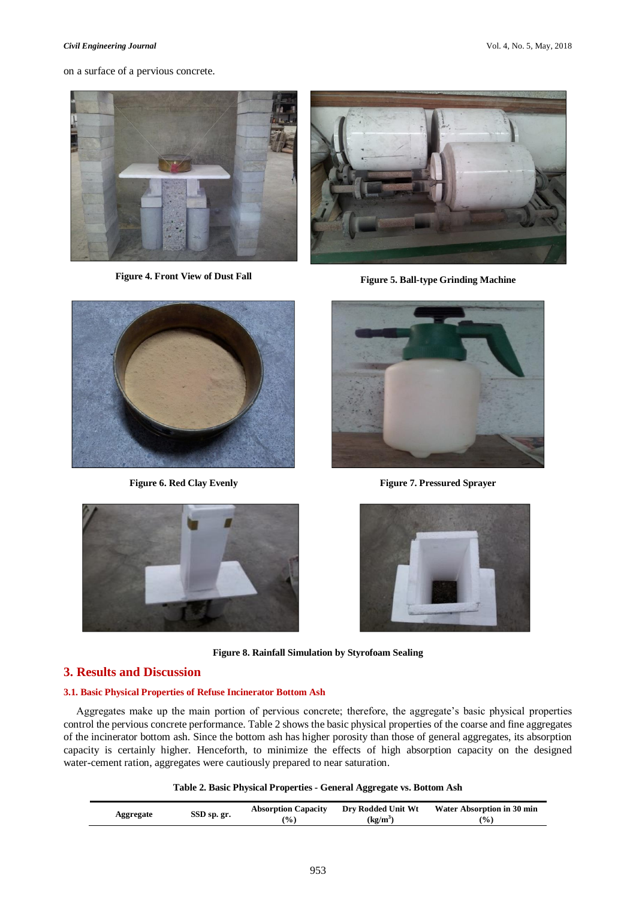#### *Civil Engineering Journal* Vol. 4, No. 5, May, 2018

on a surface of a pervious concrete.





**Figure 4. Front View of Dust Fall Figure 5. Ball-type Grinding Machine**

<span id="page-4-0"></span>

<span id="page-4-1"></span>

**Figure 6. Red Clay Evenly Figure 7. Pressured Sprayer**

<span id="page-4-3"></span><span id="page-4-2"></span>

**Figure 8. Rainfall Simulation by Styrofoam Sealing**

## <span id="page-4-4"></span>**3. Results and Discussion**

### **3.1. Basic Physical Properties of Refuse Incinerator Bottom Ash**

Aggregates make up the main portion of pervious concrete; therefore, the aggregate's basic physical properties control the pervious concrete performance. [Table 2](#page-4-5) shows the basic physical properties of the coarse and fine aggregates of the incinerator bottom ash. Since the bottom ash has higher porosity than those of general aggregates, its absorption capacity is certainly higher. Henceforth, to minimize the effects of high absorption capacity on the designed water-cement ration, aggregates were cautiously prepared to near saturation.

| Table 2. Basic Physical Properties - General Aggregate vs. Bottom Ash |  |
|-----------------------------------------------------------------------|--|
|-----------------------------------------------------------------------|--|

<span id="page-4-5"></span>

| Aggregate | SSD sp. gr. | <b>Absorption Capacity</b><br>$\frac{9}{6}$ | Dry Rodded Unit Wt<br>$(kg/m^3)$ | Water Absorption in 30 min<br>$\frac{9}{6}$ |
|-----------|-------------|---------------------------------------------|----------------------------------|---------------------------------------------|
|           |             |                                             |                                  |                                             |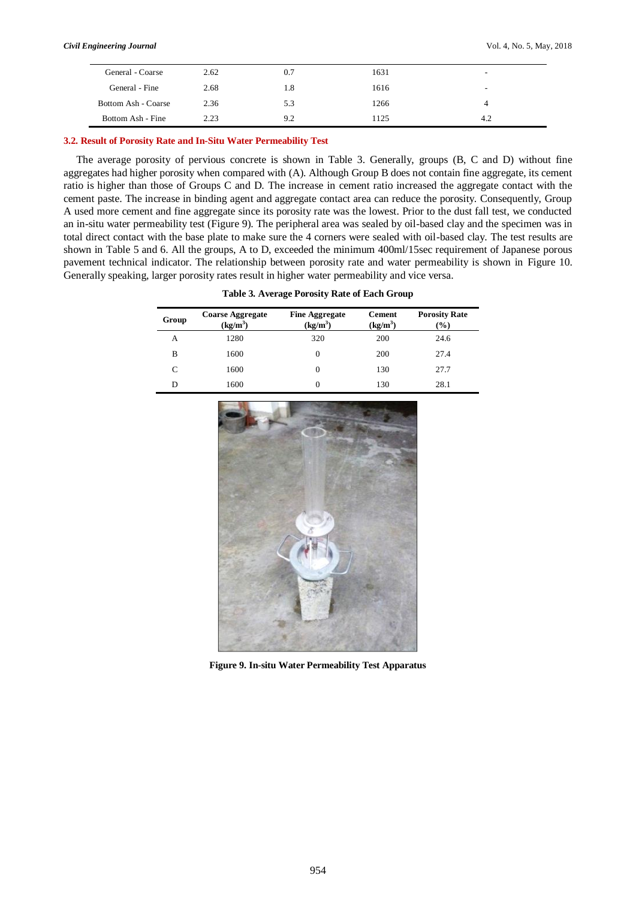| General - Coarse    | 2.62 | 0.7 | 1631 | -   |
|---------------------|------|-----|------|-----|
| General - Fine      | 2.68 | 1.8 | 1616 | -   |
| Bottom Ash - Coarse | 2.36 | 5.3 | 1266 |     |
| Bottom Ash - Fine   | 2.23 | 9.2 | 1125 | 4.2 |

#### **3.2. Result of Porosity Rate and In-Situ Water Permeability Test**

The average porosity of pervious concrete is shown in [Table 3.](#page-5-0) Generally, groups (B, C and D) without fine aggregates had higher porosity when compared with (A). Although Group B does not contain fine aggregate, its cement ratio is higher than those of Groups C and D. The increase in cement ratio increased the aggregate contact with the cement paste. The increase in binding agent and aggregate contact area can reduce the porosity. Consequently, Group A used more cement and fine aggregate since its porosity rate was the lowest. Prior to the dust fall test, we conducted an in-situ water permeability test [\(Figure 9\)](#page-5-1). The peripheral area was sealed by oil-based clay and the specimen was in total direct contact with the base plate to make sure the 4 corners were sealed with oil-based clay. The test results are shown in [Table 5](#page-6-0) and 6. All the groups, A to D, exceeded the minimum 400ml/15sec requirement of Japanese porous pavement technical indicator. The relationship between porosity rate and water permeability is shown in [Figure 10.](#page-6-1)  Generally speaking, larger porosity rates result in higher water permeability and vice versa.

| Table 3. Average Porosity Rate of Each Group |  |
|----------------------------------------------|--|
|----------------------------------------------|--|

<span id="page-5-0"></span>

| Group | <b>Coarse Aggregate</b><br>(kg/m <sup>3</sup> ) | <b>Fine Aggregate</b><br>$(kg/m^3)$ | <b>Cement</b><br>$(kg/m^3)$ | <b>Porosity Rate</b><br>$(\%)$ |
|-------|-------------------------------------------------|-------------------------------------|-----------------------------|--------------------------------|
| А     | 1280                                            | 320                                 | 200                         | 24.6                           |
| B     | 1600                                            | 0                                   | 200                         | 27.4                           |
| C     | 1600                                            | 0                                   | 130                         | 27.7                           |
| D     | 1600                                            | 0                                   | 130                         | 28.1                           |

<span id="page-5-1"></span>

**Figure 9. In-situ Water Permeability Test Apparatus**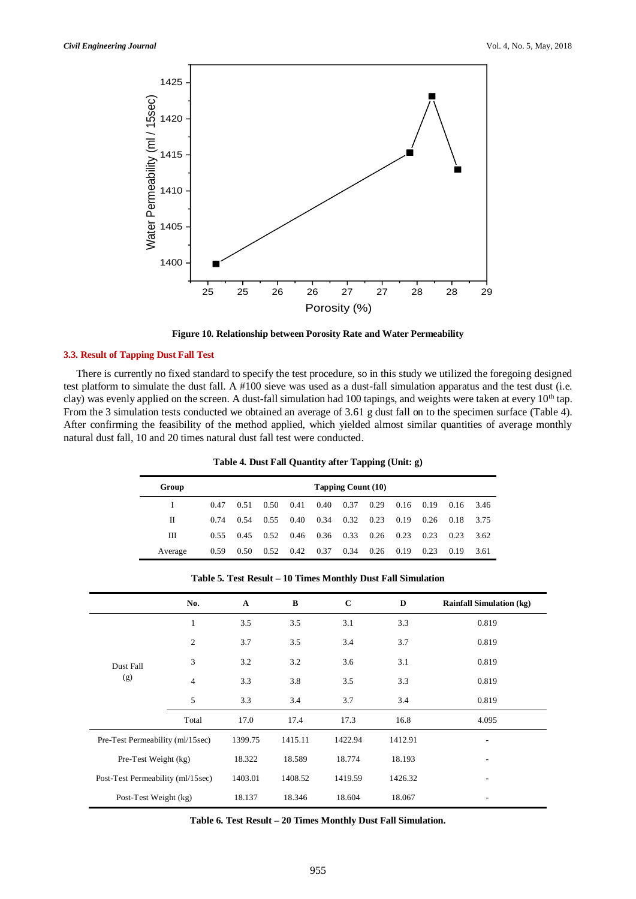

**Figure 10. Relationship between Porosity Rate and Water Permeability**

#### <span id="page-6-1"></span>**3.3. Result of Tapping Dust Fall Test**

There is currently no fixed standard to specify the test procedure, so in this study we utilized the foregoing designed test platform to simulate the dust fall. A #100 sieve was used as a dust-fall simulation apparatus and the test dust (i.e. clay) was evenly applied on the screen. A dust-fall simulation had 100 tapings, and weights were taken at every 10<sup>th</sup> tap. From the 3 simulation tests conducted we obtained an average of 3.61 g dust fall on to the specimen surface [\(Table 4\)](#page-6-2). After confirming the feasibility of the method applied, which yielded almost similar quantities of average monthly natural dust fall, 10 and 20 times natural dust fall test were conducted.

| Table 4. Dust Fall Quantity after Tapping (Unit: g) |  |  |  |
|-----------------------------------------------------|--|--|--|
|-----------------------------------------------------|--|--|--|

<span id="page-6-2"></span>

| Group   | Tapping Count (10) |      |      |      |      |      |      |      |             |      |      |
|---------|--------------------|------|------|------|------|------|------|------|-------------|------|------|
|         | 0.47               | 0.51 | 0.50 | 0.41 | 0.40 | 0.37 | 0.29 |      | $0.16$ 0.19 | 0.16 | 3.46 |
| П       | 0.74               | 0.54 | 0.55 | 0.40 | 0.34 | 0.32 | 0.23 | 0.19 | 0.26        | 0.18 | 3.75 |
| Ш       | 0.55               | 0.45 | 0.52 | 0.46 | 0.36 | 0.33 | 0.26 | 0.23 | 0.23        | 0.23 | 3.62 |
| Average | 0.59               | 0.50 | 0.52 | 0.42 | 0.37 | 0.34 | 0.26 | 0.19 | 0.23        | 0.19 | 3.61 |

<span id="page-6-0"></span>

|                                   | No.            | $\mathbf{A}$ | B       | $\mathbf{C}$ | D       | <b>Rainfall Simulation (kg)</b> |
|-----------------------------------|----------------|--------------|---------|--------------|---------|---------------------------------|
|                                   |                |              |         |              |         |                                 |
|                                   | $\mathbf{1}$   | 3.5          | 3.5     | 3.1          | 3.3     | 0.819                           |
|                                   | $\overline{c}$ | 3.7          | 3.5     | 3.4          | 3.7     | 0.819                           |
| Dust Fall                         | 3              | 3.2          | 3.2     | 3.6          | 3.1     | 0.819                           |
| (g)                               | $\overline{4}$ | 3.3          | 3.8     | 3.5          | 3.3     | 0.819                           |
|                                   | 5              | 3.3          | 3.4     | 3.7          | 3.4     | 0.819                           |
|                                   | Total          | 17.0         | 17.4    | 17.3         | 16.8    | 4.095                           |
| Pre-Test Permeability (ml/15sec)  |                | 1399.75      | 1415.11 | 1422.94      | 1412.91 | $\overline{\phantom{0}}$        |
| Pre-Test Weight (kg)              |                | 18.322       | 18.589  | 18.774       | 18.193  |                                 |
| Post-Test Permeability (ml/15sec) |                | 1403.01      | 1408.52 | 1419.59      | 1426.32 | ٠                               |
| Post-Test Weight (kg)             |                | 18.137       | 18.346  | 18.604       | 18.067  |                                 |

**Table 5. Test Result – 10 Times Monthly Dust Fall Simulation**

<span id="page-6-3"></span>**Table 6. Test Result – 20 Times Monthly Dust Fall Simulation.**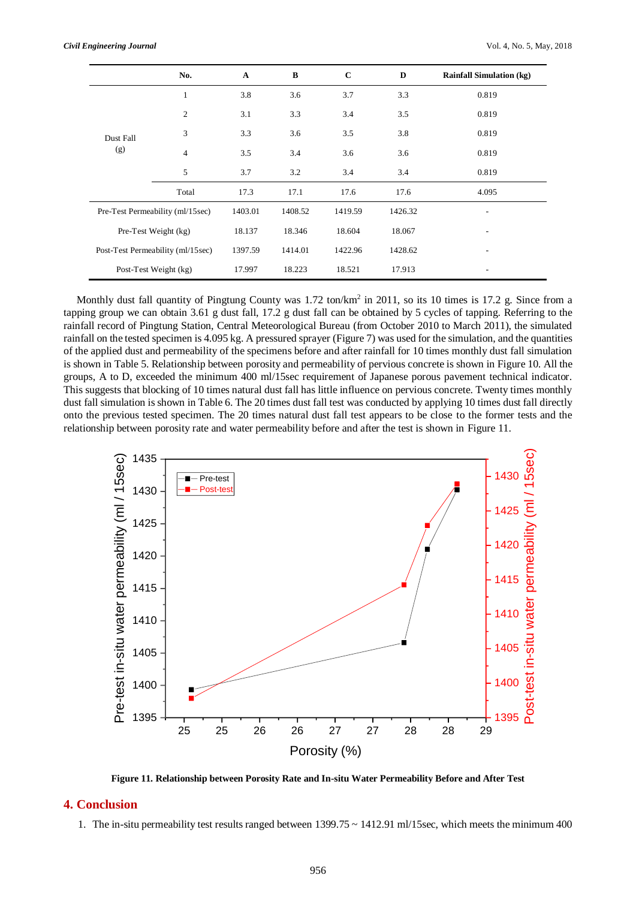|                                   | No.                   | $\mathbf{A}$ | $\, {\bf B}$ | $\mathbf C$ | D       | <b>Rainfall Simulation (kg)</b> |
|-----------------------------------|-----------------------|--------------|--------------|-------------|---------|---------------------------------|
|                                   | $\mathbf{1}$          | 3.8          | 3.6          | 3.7         | 3.3     | 0.819                           |
|                                   | 2                     | 3.1          | 3.3          | 3.4         | 3.5     | 0.819                           |
| Dust Fall                         | 3                     | 3.3          | 3.6          | 3.5         | 3.8     | 0.819                           |
| (g)                               | $\overline{4}$        | 3.5          | 3.4          | 3.6         | 3.6     | 0.819                           |
|                                   | 5                     | 3.7          | 3.2          | 3.4         | 3.4     | 0.819                           |
|                                   | Total                 | 17.3         | 17.1         | 17.6        | 17.6    | 4.095                           |
| Pre-Test Permeability (ml/15sec)  |                       | 1403.01      | 1408.52      | 1419.59     | 1426.32 |                                 |
| Pre-Test Weight (kg)              |                       | 18.137       | 18.346       | 18.604      | 18.067  | ٠                               |
| Post-Test Permeability (ml/15sec) |                       | 1397.59      | 1414.01      | 1422.96     | 1428.62 | $\overline{\phantom{a}}$        |
|                                   | Post-Test Weight (kg) | 17.997       | 18.223       | 18.521      | 17.913  |                                 |

Monthly dust fall quantity of Pingtung County was 1.72 ton/km<sup>2</sup> in 2011, so its 10 times is 17.2 g. Since from a tapping group we can obtain 3.61 g dust fall, 17.2 g dust fall can be obtained by 5 cycles of tapping. Referring to the rainfall record of Pingtung Station, Central Meteorological Bureau (from October 2010 to March 2011), the simulated rainfall on the tested specimen is 4.095 kg. A pressured sprayer [\(Figure 7\)](#page-4-3) was used for the simulation, and the quantities of the applied dust and permeability of the specimens before and after rainfall for 10 times monthly dust fall simulation is shown in [Table 5.](#page-6-0) Relationship between porosity and permeability of pervious concrete is shown i[n Figure 10.](#page-6-1) All the groups, A to D, exceeded the minimum 400 ml/15sec requirement of Japanese porous pavement technical indicator. This suggests that blocking of 10 times natural dust fall has little influence on pervious concrete. Twenty times monthly dust fall simulation is shown i[n Table 6.](#page-6-3) The 20 times dust fall test was conducted by applying 10 times dust fall directly onto the previous tested specimen. The 20 times natural dust fall test appears to be close to the former tests and the relationship between porosity rate and water permeability before and after the test is shown in [Figure 11.](#page-7-0)



**Figure 11. Relationship between Porosity Rate and In-situ Water Permeability Before and After Test**

## <span id="page-7-0"></span>**4. Conclusion**

1. The in-situ permeability test results ranged between 1399.75 ~ 1412.91 ml/15sec, which meets the minimum 400